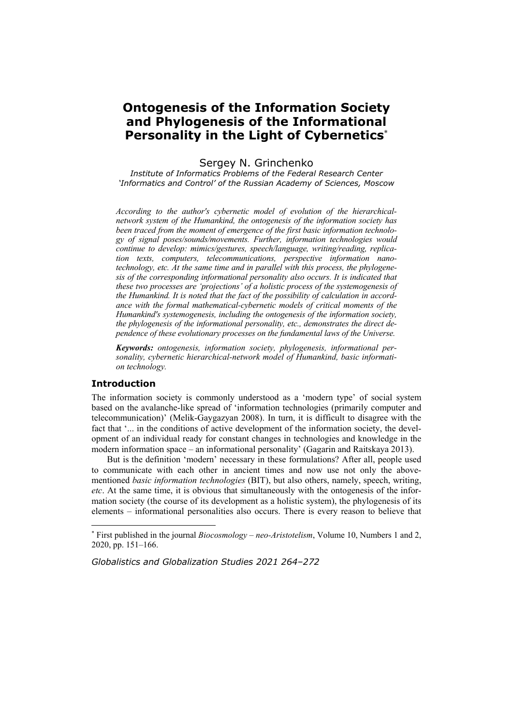# **Ontogenesis of the Information Society and Phylogenesis of the Informational Personality in the Light of Cybernetics**

#### Sergey N. Grinchenko

*Institute of Informatics Problems of the Federal Research Center 'Informatics and Control' of the Russian Academy of Sciences, Moscow* 

*According to the author's cybernetic model of evolution of the hierarchicalnetwork system of the Humankind, the ontogenesis of the information society has been traced from the moment of emergence of the first basic information technology of signal poses/sounds/movements. Further, information technologies would continue to develop: mimics/gestures, speech/language, writing/reading, replication texts, computers, telecommunications, perspective information nanotechnology, etc. At the same time and in parallel with this process, the phylogenesis of the corresponding informational personality also occurs. It is indicated that these two processes are 'projections' of a holistic process of the systemogenesis of the Humankind. It is noted that the fact of the possibility of calculation in accordance with the formal mathematical-cybernetic models of critical moments of the Humankind's systemogenesis, including the ontogenesis of the information society, the phylogenesis of the informational personality, etc., demonstrates the direct dependence of these evolutionary processes on the fundamental laws of the Universe.* 

*Keywords: ontogenesis, information society, phylogenesis, informational personality, cybernetic hierarchical-network model of Humankind, basic information technology.* 

## **Introduction**

 $\overline{a}$ 

The information society is commonly understood as a 'modern type' of social system based on the avalanche-like spread of 'information technologies (primarily computer and telecommunication)' (Melik-Gaygazyan 2008). In turn, it is difficult to disagree with the fact that '... in the conditions of active development of the information society, the development of an individual ready for constant changes in technologies and knowledge in the modern information space – an informational personality' (Gagarin and Raitskaya 2013).

But is the definition 'modern' necessary in these formulations? After all, people used to communicate with each other in ancient times and now use not only the abovementioned *basic information technologies* (BIT), but also others, namely, speech, writing, *etc*. At the same time, it is obvious that simultaneously with the ontogenesis of the information society (the course of its development as a holistic system), the phylogenesis of its elements – informational personalities also occurs. There is every reason to believe that

*Globalistics and Globalization Studies 2021 264–272*

 First published in the journal *Biocosmology – neo-Aristotelism*, Volume 10, Numbers 1 and 2, 2020, pp. 151–166.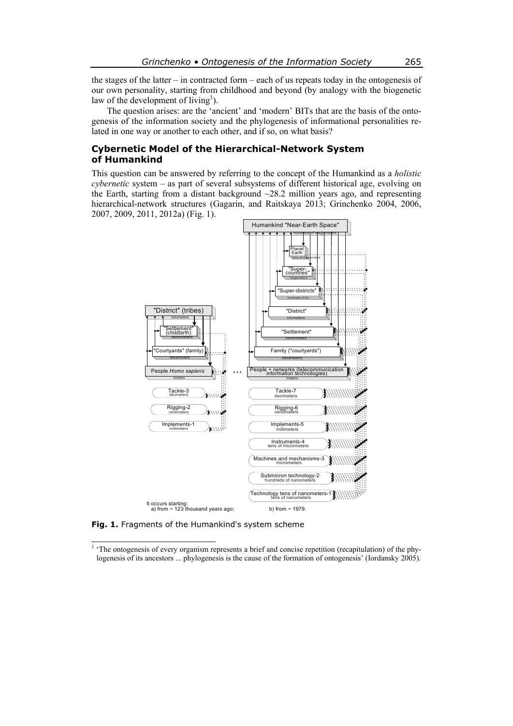the stages of the latter – in contracted form – each of us repeats today in the ontogenesis of our own personality, starting from childhood and beyond (by analogy with the biogenetic law of the development of living<sup>1</sup>).

The question arises: are the 'ancient' and 'modern' BITs that are the basis of the ontogenesis of the information society and the phylogenesis of informational personalities related in one way or another to each other, and if so, on what basis?

#### **Cybernetic Model of the Hierarchical-Network System of Humankind**

This question can be answered by referring to the concept of the Humankind as a *holistic cybernetic* system – as part of several subsystems of different historical age, evolving on the Earth, starting from a distant background  $\sim$ 28.2 million years ago, and representing hierarchical-network structures (Gagarin, and Raitskaya 2013; Grinchenko 2004, 2006, 2007, 2009, 2011, 2012a) (Fig. 1).



**Fig. 1.** Fragments of the Humankind's system scheme

<sup>&</sup>lt;sup>1</sup> 'The ontogenesis of every organism represents a brief and concise repetition (recapitulation) of the phylogenesis of its ancestors ... phylogenesis is the cause of the formation of ontogenesis' (Iordansky 2005).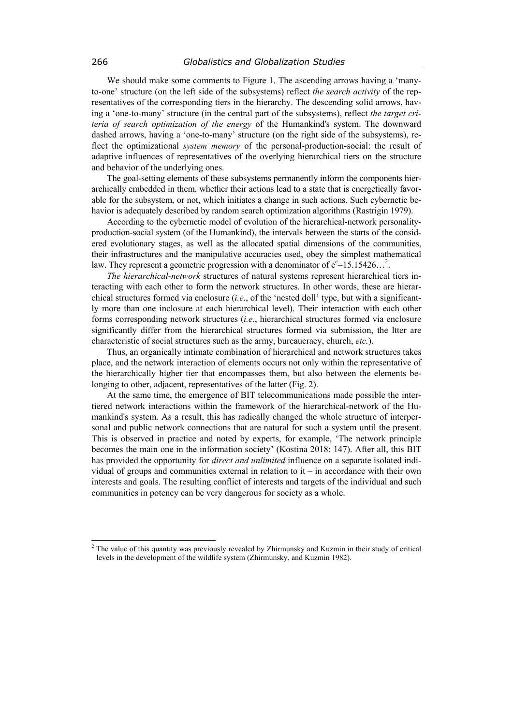We should make some comments to Figure 1. The ascending arrows having a 'manyto-one' structure (on the left side of the subsystems) reflect *the search activity* of the representatives of the corresponding tiers in the hierarchy. The descending solid arrows, having a 'one-to-many' structure (in the central part of the subsystems), reflect *the target criteria of search optimization of the energy* of the Humankind's system. The downward dashed arrows, having a 'one-to-many' structure (on the right side of the subsystems), reflect the optimizational *system memory* of the personal-production-social: the result of adaptive influences of representatives of the overlying hierarchical tiers on the structure and behavior of the underlying ones.

The goal-setting elements of these subsystems permanently inform the components hierarchically embedded in them, whether their actions lead to a state that is energetically favorable for the subsystem, or not, which initiates a change in such actions. Such cybernetic behavior is adequately described by random search optimization algorithms (Rastrigin 1979).

According to the cybernetic model of evolution of the hierarchical-network personalityproduction-social system (of the Humankind), the intervals between the starts of the considered evolutionary stages, as well as the allocated spatial dimensions of the communities, their infrastructures and the manipulative accuracies used, obey the simplest mathematical law. They represent a geometric progression with a denominator of  $e^{\epsilon}$ =15.15426...<sup>2</sup>.

*The hierarchical-network* structures of natural systems represent hierarchical tiers interacting with each other to form the network structures. In other words, these are hierarchical structures formed via enclosure (*i.e*., of the 'nested doll' type, but with a significantly more than one inclosure at each hierarchical level). Their interaction with each other forms corresponding network structures (*i.e*., hierarchical structures formed via enclosure significantly differ from the hierarchical structures formed via submission, the ltter are characteristic of social structures such as the army, bureaucracy, church, *etc.*).

Thus, an organically intimate combination of hierarchical and network structures takes place, and the network interaction of elements occurs not only within the representative of the hierarchically higher tier that encompasses them, but also between the elements belonging to other, adjacent, representatives of the latter (Fig. 2).

At the same time, the emergence of BIT telecommunications made possible the intertiered network interactions within the framework of the hierarchical-network of the Humankind's system. As a result, this has radically changed the whole structure of interpersonal and public network connections that are natural for such a system until the present. This is observed in practice and noted by experts, for example, 'The network principle becomes the main one in the information society' (Kostina 2018: 147). After all, this BIT has provided the opportunity for *direct and unlimited* influence on a separate isolated individual of groups and communities external in relation to it  $-$  in accordance with their own interests and goals. The resulting conflict of interests and targets of the individual and such communities in potency can be very dangerous for society as a whole.

 $\overline{a}$ 

<sup>&</sup>lt;sup>2</sup> The value of this quantity was previously revealed by Zhirmunsky and Kuzmin in their study of critical levels in the development of the wildlife system (Zhirmunsky, and Kuzmin 1982).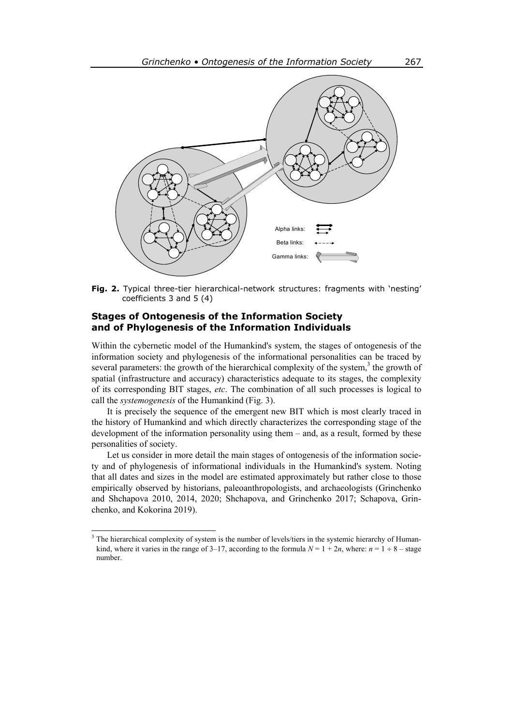

**Fig. 2.** Typical three-tier hierarchical-network structures: fragments with 'nesting' coefficients 3 and 5 (4)

## **Stages of Ontogenesis of the Information Society and of Phylogenesis of the Information Individuals**

Within the cybernetic model of the Humankind's system, the stages of ontogenesis of the information society and phylogenesis of the informational personalities can be traced by several parameters: the growth of the hierarchical complexity of the system, $3$  the growth of spatial (infrastructure and accuracy) characteristics adequate to its stages, the complexity of its corresponding BIT stages, *etc*. The combination of all such processes is logical to call the *systemogenesis* of the Humankind (Fig. 3).

It is precisely the sequence of the emergent new BIT which is most clearly traced in the history of Humankind and which directly characterizes the corresponding stage of the development of the information personality using them – and, as a result, formed by these personalities of society.

Let us consider in more detail the main stages of ontogenesis of the information society and of phylogenesis of informational individuals in the Humankind's system. Noting that all dates and sizes in the model are estimated approximately but rather close to those empirically observed by historians, paleoanthropologists, and archaeologists (Grinchenko and Shchapova 2010, 2014, 2020; Shchapova, and Grinchenko 2017; Schapova, Grinchenko, and Kokorina 2019).

 $\overline{a}$ 

<sup>&</sup>lt;sup>3</sup> The hierarchical complexity of system is the number of levels/tiers in the systemic hierarchy of Humankind, where it varies in the range of 3–17, according to the formula  $N = 1 + 2n$ , where:  $n = 1 + 8 -$  stage number.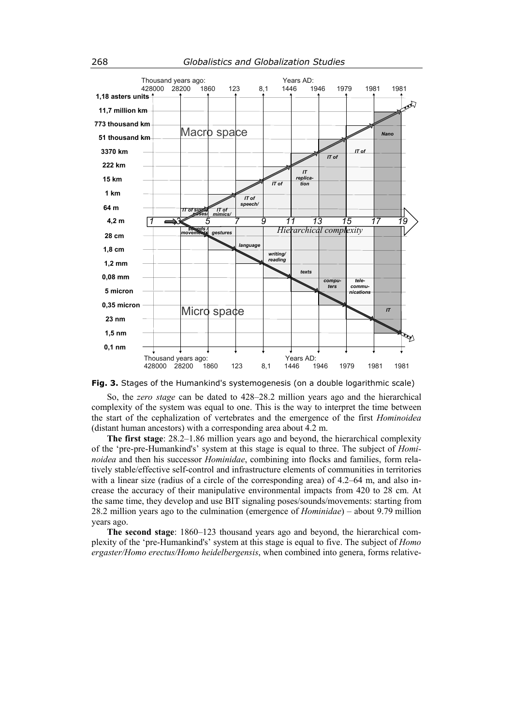

**Fig. 3.** Stages of the Humankind's systemogenesis (on a double logarithmic scale)

So, the *zero stage* can be dated to 428–28.2 million years ago and the hierarchical complexity of the system was equal to one. This is the way to interpret the time between the start of the cephalization of vertebrates and the emergence of the first *Hominoidea* (distant human ancestors) with a corresponding area about 4.2 m.

**The first stage**: 28.2–1.86 million years ago and beyond, the hierarchical complexity of the 'pre-pre-Humankind's' system at this stage is equal to three. The subject of *Hominoidea* and then his successor *Hominidae*, combining into flocks and families, form relatively stable/effective self-control and infrastructure elements of communities in territories with a linear size (radius of a circle of the corresponding area) of 4.2–64 m, and also increase the accuracy of their manipulative environmental impacts from 420 to 28 cm. At the same time, they develop and use BIT signaling poses/sounds/movements: starting from 28.2 million years ago to the culmination (emergence of *Hominidae*) – about 9.79 million years ago.

**The second stage**: 1860–123 thousand years ago and beyond, the hierarchical complexity of the 'pre-Humankind's' system at this stage is equal to five. The subject of *Homo ergaster/Homo erectus/Homo heidelbergensis*, when combined into genera, forms relative-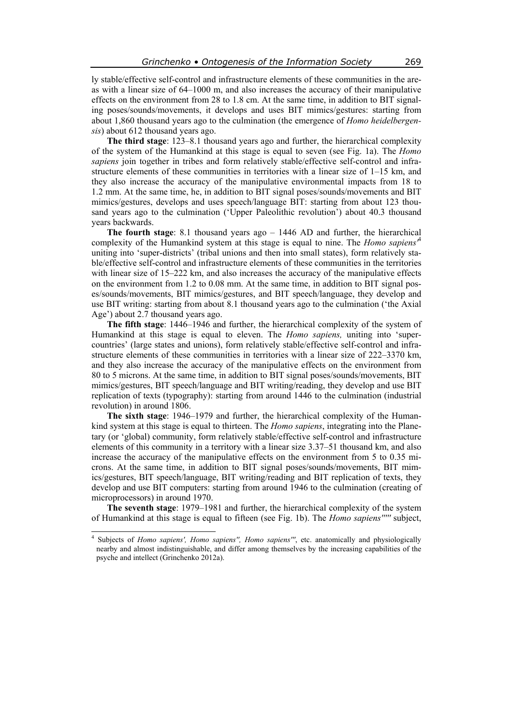ly stable/effective self-control and infrastructure elements of these communities in the areas with a linear size of 64–1000 m, and also increases the accuracy of their manipulative effects on the environment from 28 to 1.8 cm. At the same time, in addition to BIT signaling poses/sounds/movements, it develops and uses BIT mimics/gestures: starting from about 1,860 thousand years ago to the culmination (the emergence of *Homo heidelbergensis*) about 612 thousand years ago.

**The third stage**: 123–8.1 thousand years ago and further, the hierarchical complexity of the system of the Humankind at this stage is equal to seven (see Fig. 1a). The *Homo sapiens* join together in tribes and form relatively stable/effective self-control and infrastructure elements of these communities in territories with a linear size of 1–15 km, and they also increase the accuracy of the manipulative environmental impacts from 18 to 1.2 mm. At the same time, he, in addition to BIT signal poses/sounds/movements and BIT mimics/gestures, develops and uses speech/language BIT: starting from about 123 thousand years ago to the culmination ('Upper Paleolithic revolution') about 40.3 thousand years backwards.

**The fourth stage**: 8.1 thousand years ago – 1446 AD and further, the hierarchical complexity of the Humankind system at this stage is equal to nine. The *Homo sapiens'*<sup>4</sup> uniting into 'super-districts' (tribal unions and then into small states), form relatively stable/effective self-control and infrastructure elements of these communities in the territories with linear size of 15–222 km, and also increases the accuracy of the manipulative effects on the environment from 1.2 to 0.08 mm. At the same time, in addition to BIT signal poses/sounds/movements, BIT mimics/gestures, and BIT speech/language, they develop and use BIT writing: starting from about 8.1 thousand years ago to the culmination ('the Axial Age') about 2.7 thousand years ago.

**The fifth stage**: 1446–1946 and further, the hierarchical complexity of the system of Humankind at this stage is equal to eleven. The *Homo sapiens,* uniting into 'supercountries' (large states and unions), form relatively stable/effective self-control and infrastructure elements of these communities in territories with a linear size of 222–3370 km, and they also increase the accuracy of the manipulative effects on the environment from 80 to 5 microns. At the same time, in addition to BIT signal poses/sounds/movements, BIT mimics/gestures, BIT speech/language and BIT writing/reading, they develop and use BIT replication of texts (typography): starting from around 1446 to the culmination (industrial revolution) in around 1806.

**The sixth stage**: 1946–1979 and further, the hierarchical complexity of the Humankind system at this stage is equal to thirteen. The *Homo sapiens*, integrating into the Planetary (or 'global) community, form relatively stable/effective self-control and infrastructure elements of this community in a territory with a linear size 3.37–51 thousand km, and also increase the accuracy of the manipulative effects on the environment from 5 to 0.35 microns. At the same time, in addition to BIT signal poses/sounds/movements, BIT mimics/gestures, BIT speech/language, BIT writing/reading and BIT replication of texts, they develop and use BIT computers: starting from around 1946 to the culmination (creating of microprocessors) in around 1970.

**The seventh stage**: 1979–1981 and further, the hierarchical complexity of the system of Humankind at this stage is equal to fifteen (see Fig. 1b). The *Homo sapiens'''''* subject,

 4 Subjects of *Homo sapiens', Homo sapiens'', Homo sapiens'''*, etc. anatomically and physiologically nearby and almost indistinguishable, and differ among themselves by the increasing capabilities of the psyche and intellect (Grinchenko 2012a).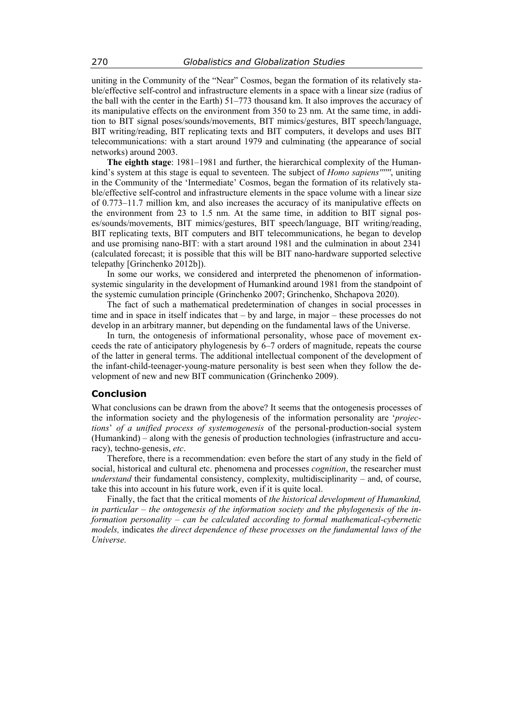uniting in the Community of the "Near" Cosmos, began the formation of its relatively stable/effective self-control and infrastructure elements in a space with a linear size (radius of the ball with the center in the Earth) 51–773 thousand km. It also improves the accuracy of its manipulative effects on the environment from 350 to 23 nm. At the same time, in addition to BIT signal poses/sounds/movements, BIT mimics/gestures, BIT speech/language, BIT writing/reading, BIT replicating texts and BIT computers, it develops and uses BIT telecommunications: with a start around 1979 and culminating (the appearance of social networks) around 2003.

**The eighth stage**: 1981–1981 and further, the hierarchical complexity of the Humankind's system at this stage is equal to seventeen. The subject of *Homo sapiens''''''*, uniting in the Community of the 'Intermediate' Cosmos, began the formation of its relatively stable/effective self-control and infrastructure elements in the space volume with a linear size of 0.773–11.7 million km, and also increases the accuracy of its manipulative effects on the environment from 23 to 1.5 nm. At the same time, in addition to BIT signal poses/sounds/movements, BIT mimics/gestures, BIT speech/language, BIT writing/reading, BIT replicating texts, BIT computers and BIT telecommunications, he began to develop and use promising nano-BIT: with a start around 1981 and the culmination in about 2341 (calculated forecast; it is possible that this will be BIT nano-hardware supported selective telepathy [Grinchenko 2012b]).

In some our works, we considered and interpreted the phenomenon of informationsystemic singularity in the development of Humankind around 1981 from the standpoint of the systemic cumulation principle (Grinchenko 2007; Grinchenko, Shchapova 2020).

The fact of such a mathematical predetermination of changes in social processes in time and in space in itself indicates that – by and large, in major – these processes do not develop in an arbitrary manner, but depending on the fundamental laws of the Universe.

In turn, the ontogenesis of informational personality, whose pace of movement exceeds the rate of anticipatory phylogenesis by 6–7 orders of magnitude, repeats the course of the latter in general terms. The additional intellectual component of the development of the infant-child-teenager-young-mature personality is best seen when they follow the development of new and new BIT communication (Grinchenko 2009).

#### **Conclusion**

What conclusions can be drawn from the above? It seems that the ontogenesis processes of the information society and the phylogenesis of the information personality are '*projections*' *of a unified process of systemogenesis* of the personal-production-social system (Humankind) – along with the genesis of production technologies (infrastructure and accuracy), techno-genesis, *etc*.

Therefore, there is a recommendation: even before the start of any study in the field of social, historical and cultural etc. phenomena and processes *cognition*, the researcher must *understand* their fundamental consistency, complexity, multidisciplinarity – and, of course, take this into account in his future work, even if it is quite local.

Finally, the fact that the critical moments of *the historical development of Humankind, in particular – the ontogenesis of the information society and the phylogenesis of the information personality – can be calculated according to formal mathematical-cybernetic models,* indicates *the direct dependence of these processes on the fundamental laws of the Universe.*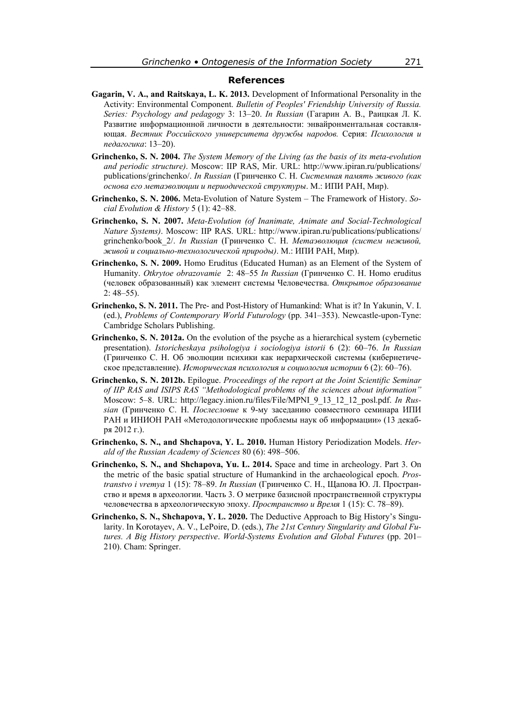#### **References**

- **Gagarin, V. A., and Raitskaya, L. K. 2013.** Development of Informational Personality in the Activity: Environmental Component. *Bulletin of Peoples' Friendship University of Russia. Series: Psychology and pedagogy* 3: 13–20. *In Russian* (Гагарин А. В., Раицкая Л. К. Развитие информационной личности в деятельности: энвайронментальная составляющая. *Вестник Российского университета дружбы народов.* Серия: *Психология и педагогика*: 13–20).
- **Grinchenko, S. N. 2004.** *The System Memory of the Living (as the basis of its meta-evolution and periodic structure)*. Moscow: IIP RAS, Mir. URL: http://www.ipiran.ru/publications/ publications/grinchenko/. *In Russian* (Гринченко С. Н. *Системная память живого (как основа его метаэволюции и периодической структуры*. М.: ИПИ РАН, Мир).
- **Grinchenko, S. N. 2006.** Meta-Evolution of Nature System The Framework of History. *Social Evolution & History* 5 (1): 42–88.
- **Grinchenko, S. N. 2007.** *Meta-Evolution (of Inanimate, Animate and Social-Technological Nature Systems)*. Moscow: IIP RAS. URL: http://www.ipiran.ru/publications/publications/ grinchenko/book\_2/. *In Russian* (Гринченко С. Н. *Метаэволюция (систем неживой, живой и социально-технологической природы)*. М.: ИПИ РАН, Мир).
- **Grinchenko, S. N. 2009.** Homo Eruditus (Educated Human) as an Element of the System of Humanity. *Otkrytoe obrazovamie* 2: 48–55 *In Russian* (Гринченко С. Н. Homo eruditus (человек образованный) как элемент системы Человечества. *Открытое образование* 2: 48–55).
- **Grinchenko, S. N. 2011.** The Pre- and Post-History of Humankind: What is it? In Yakunin, V. I. (ed.), *Problems of Contemporary World Futurology* (pp. 341–353). Newcastle-upon-Tyne: Cambridge Scholars Publishing.
- Grinchenko, S. N. 2012a. On the evolution of the psyche as a hierarchical system (cybernetic presentation). *Istoricheskaya psihologiya i sociologiya istorii* 6 (2): 60–76. *In Russian* (Гринченко С. Н. Об эволюции психики как иерархической системы (кибернетическое представление). *Историческая психология и социология истории* 6 (2): 60–76).
- **Grinchenko, S. N. 2012b.** Epilogue. *Proceedings of the report at the Joint Scientific Seminar of IIP RAS and ISIPS RAS "Methodological problems of the sciences about information"* Moscow: 5–8. URL: http://legacy.inion.ru/files/File/MPNI\_9\_13\_12\_12\_posl.pdf. *In Russian* (Гринченко С. Н. *Послесловие* к 9-му заседанию совместного семинара ИПИ РАН и ИНИОН РАН «Методологические проблемы наук об информации» (13 декабря 2012 г.).
- **Grinchenko, S. N., and Shchapova, Y. L. 2010.** Human History Periodization Models. *Herald of the Russian Academy of Sciences* 80 (6): 498–506.
- **Grinchenko, S. N., and Shchapova, Yu. L. 2014.** Space and time in archeology. Part 3. On the metric of the basic spatial structure of Humankind in the archaeological epoch. *Prostranstvo i vremya* 1 (15): 78–89. *In Russian* (Гринченко С. Н., Щапова Ю. Л. Пространство и время в археологии. Часть 3. О метрике базисной пространственной структуры человечества в археологическую эпоху. *Пространство и Время* 1 (15): С. 78–89).
- **Grinchenko, S. N., Shchapova, Y. L. 2020.** The Deductive Approach to Big History's Singularity. In Korotayev, A. V., LePoire, D. (eds.), *The 21st Century Singularity and Global Futures. A Big History perspective*. *World-Systems Evolution and Global Futures* (pp. 201– 210). Cham: Springer.